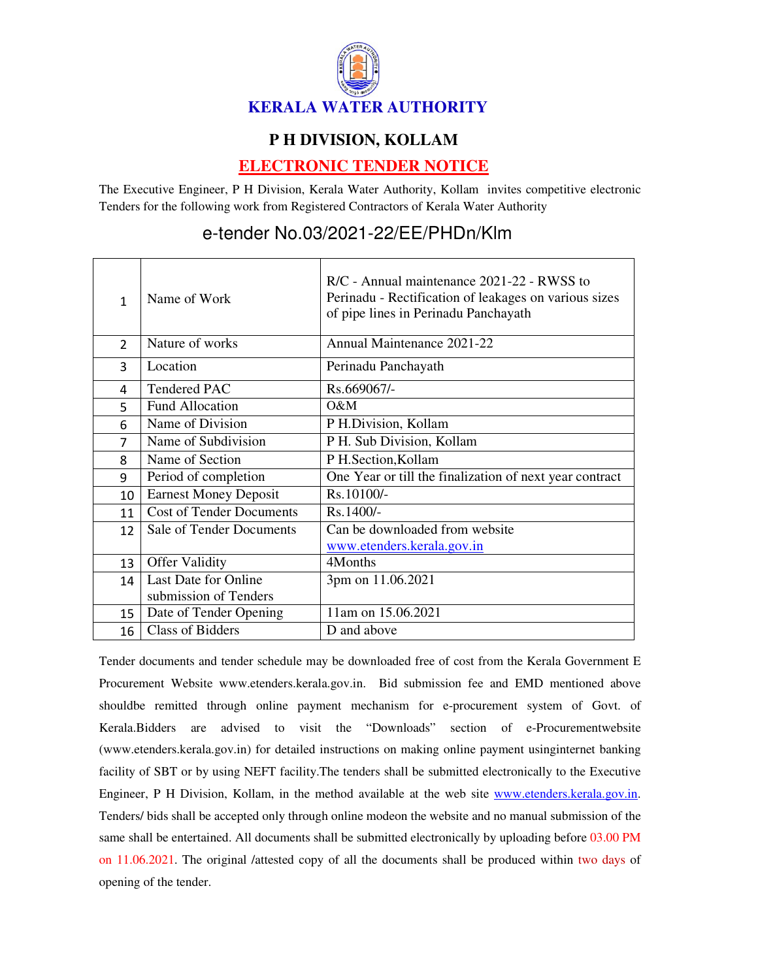

## **P H DIVISION, KOLLAM**

## **ELECTRONIC TENDER NOTICE**

The Executive Engineer, P H Division, Kerala Water Authority, Kollam invites competitive electronic Tenders for the following work from Registered Contractors of Kerala Water Authority

## e-tender No.03/2021-22/EE/PHDn/Klm

| 1             | Name of Work                    | $R/C$ - Annual maintenance 2021-22 - RWSS to<br>Perinadu - Rectification of leakages on various sizes<br>of pipe lines in Perinadu Panchayath |
|---------------|---------------------------------|-----------------------------------------------------------------------------------------------------------------------------------------------|
| $\mathcal{P}$ | Nature of works                 | Annual Maintenance 2021-22                                                                                                                    |
| 3             | Location                        | Perinadu Panchayath                                                                                                                           |
| 4             | <b>Tendered PAC</b>             | Rs.669067/-                                                                                                                                   |
| 5             | <b>Fund Allocation</b>          | O&M                                                                                                                                           |
| 6             | Name of Division                | P H.Division, Kollam                                                                                                                          |
| 7             | Name of Subdivision             | P H. Sub Division, Kollam                                                                                                                     |
| 8             | Name of Section                 | P H.Section, Kollam                                                                                                                           |
| 9             | Period of completion            | One Year or till the finalization of next year contract                                                                                       |
| 10            | <b>Earnest Money Deposit</b>    | Rs.10100/-                                                                                                                                    |
| 11            | <b>Cost of Tender Documents</b> | Rs.1400/-                                                                                                                                     |
| 12            | Sale of Tender Documents        | Can be downloaded from website                                                                                                                |
|               |                                 | www.etenders.kerala.gov.in                                                                                                                    |
| 13            | <b>Offer Validity</b>           | 4Months                                                                                                                                       |
| 14            | Last Date for Online            | 3pm on 11.06.2021                                                                                                                             |
|               | submission of Tenders           |                                                                                                                                               |
| 15            | Date of Tender Opening          | 11am on 15.06.2021                                                                                                                            |
| 16            | <b>Class of Bidders</b>         | D and above                                                                                                                                   |

Tender documents and tender schedule may be downloaded free of cost from the Kerala Government E Procurement Website www.etenders.kerala.gov.in. Bid submission fee and EMD mentioned above shouldbe remitted through online payment mechanism for e-procurement system of Govt. of Kerala.Bidders are advised to visit the "Downloads" section of e-Procurementwebsite (www.etenders.kerala.gov.in) for detailed instructions on making online payment usinginternet banking facility of SBT or by using NEFT facility.The tenders shall be submitted electronically to the Executive Engineer, P H Division, Kollam, in the method available at the web site www.etenders.kerala.gov.in. Tenders/ bids shall be accepted only through online modeon the website and no manual submission of the same shall be entertained. All documents shall be submitted electronically by uploading before 03.00 PM on 11.06.2021. The original /attested copy of all the documents shall be produced within two days of opening of the tender.